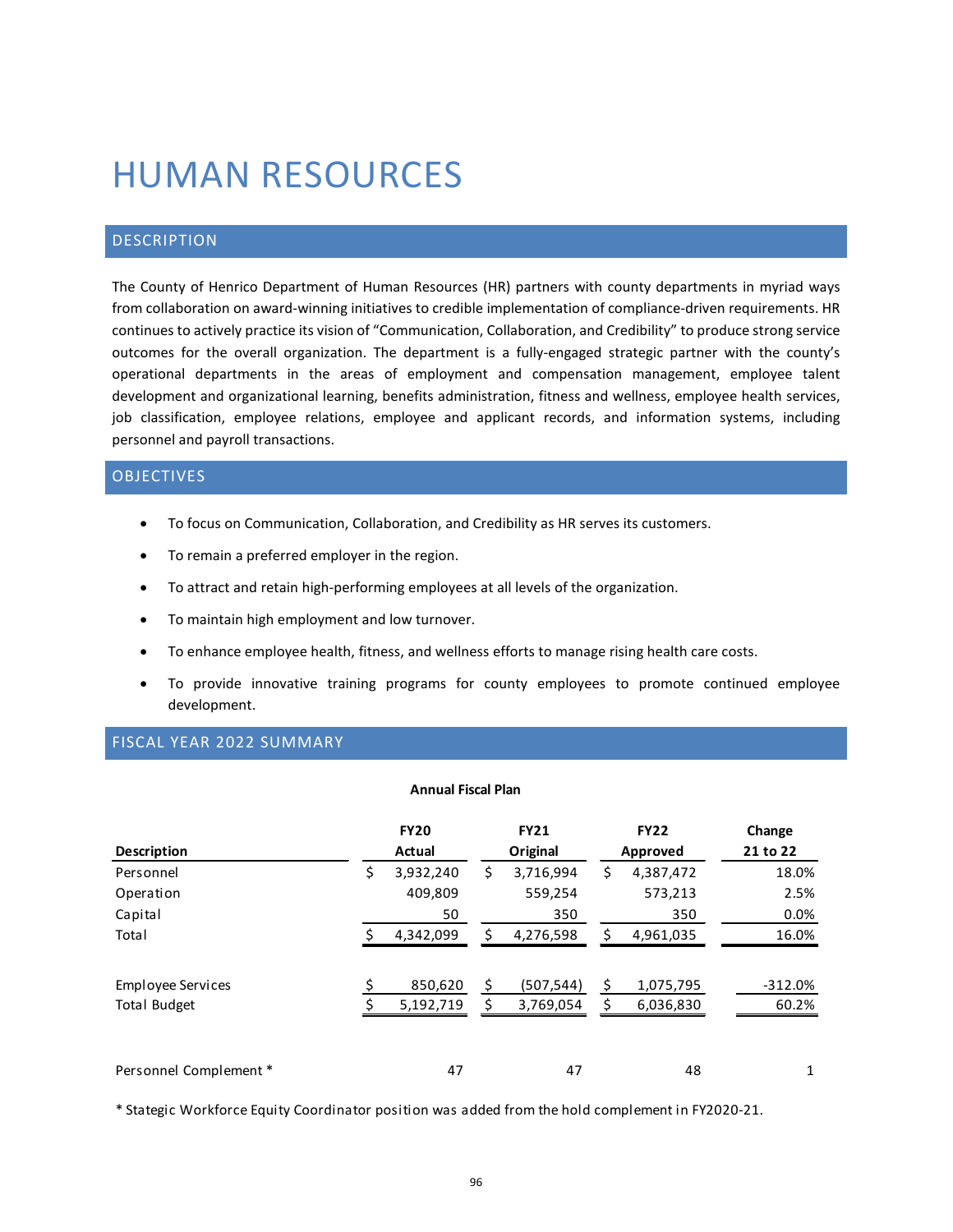# HUMAN RESOURCES

# DESCRIPTION

The County of Henrico Department of Human Resources (HR) partners with county departments in myriad ways from collaboration on award-winning initiatives to credible implementation of compliance-driven requirements. HR continues to actively practice its vision of "Communication, Collaboration, and Credibility" to produce strong service outcomes for the overall organization. The department is a fully-engaged strategic partner with the county's operational departments in the areas of employment and compensation management, employee talent development and organizational learning, benefits administration, fitness and wellness, employee health services, job classification, employee relations, employee and applicant records, and information systems, including personnel and payroll transactions.

## OBJECTIVES

- To focus on Communication, Collaboration, and Credibility as HR serves its customers.
- To remain a preferred employer in the region.
- To attract and retain high-performing employees at all levels of the organization.
- To maintain high employment and low turnover.
- To enhance employee health, fitness, and wellness efforts to manage rising health care costs.
- To provide innovative training programs for county employees to promote continued employee development.

## FISCAL YEAR 2022 SUMMARY

#### **Annual Fiscal Plan**

| <b>Description</b>                       | <b>FY20</b><br>Actual |    | <b>FY21</b><br>Original |          | <b>FY22</b><br>Approved | Change<br>21 to 22 |
|------------------------------------------|-----------------------|----|-------------------------|----------|-------------------------|--------------------|
| Personnel                                | \$<br>3,932,240       | \$ | 3,716,994               | \$       | 4,387,472               | 18.0%              |
| Operation                                | 409,809               |    | 559,254                 |          | 573,213                 | 2.5%               |
| Capital                                  | 50                    |    | 350                     |          | 350                     | 0.0%               |
| Total                                    | 4,342,099             | S  | 4,276,598               | \$       | 4,961,035               | 16.0%              |
| Employee Services<br><b>Total Budget</b> | 850,620<br>5,192,719  |    | (507, 544)<br>3,769,054 | \$<br>\$ | 1,075,795<br>6,036,830  | $-312.0%$<br>60.2% |
| Personnel Complement *                   | 47                    |    | 47                      |          | 48                      | 1                  |

\* Stategic Workforce Equity Coordinator position was added from the hold complement in FY2020-21.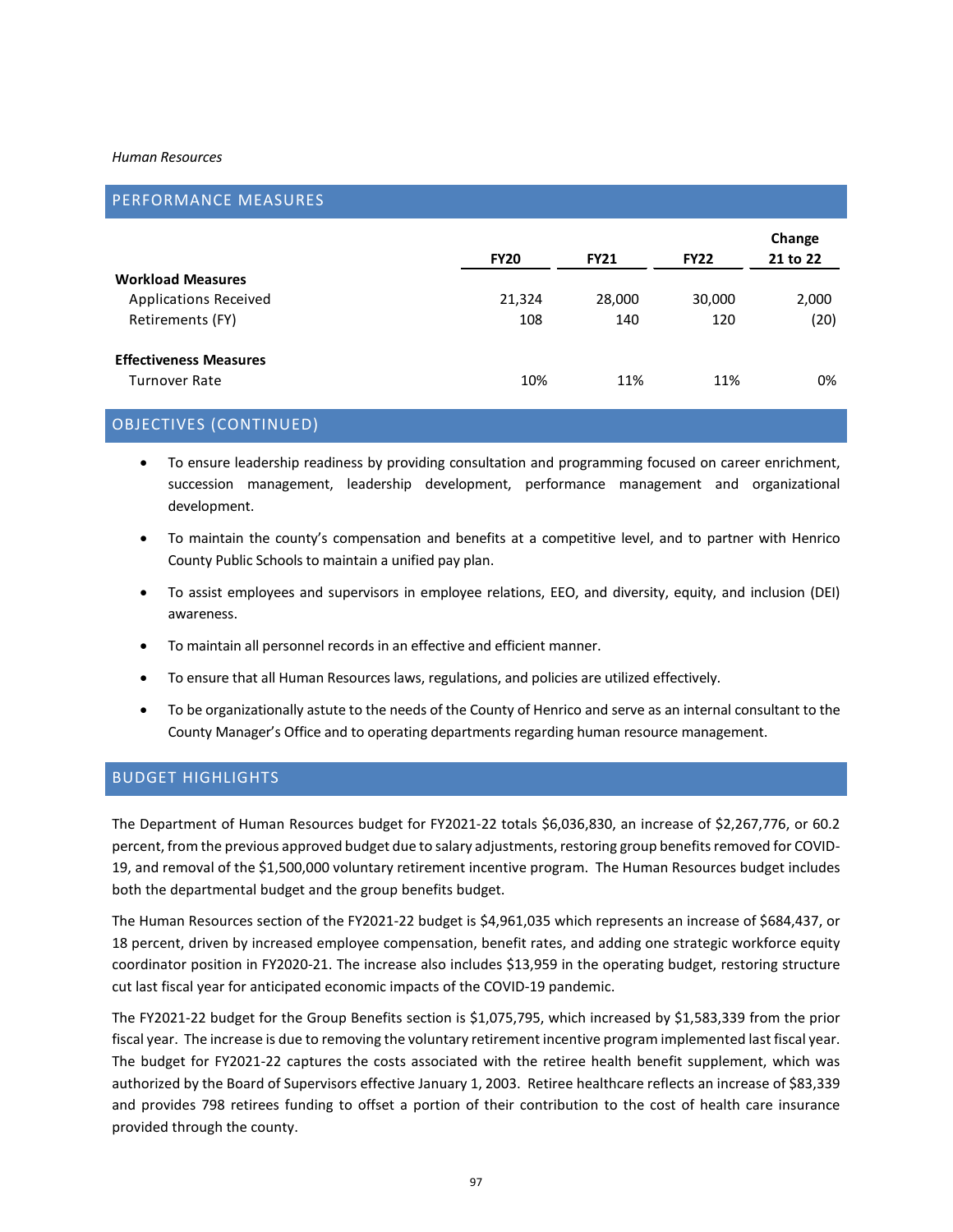#### *Human Resources*

| PERFORMANCE MEASURES          |             |             |             |                    |
|-------------------------------|-------------|-------------|-------------|--------------------|
|                               | <b>FY20</b> | <b>FY21</b> | <b>FY22</b> | Change<br>21 to 22 |
| <b>Workload Measures</b>      |             |             |             |                    |
| <b>Applications Received</b>  | 21,324      | 28,000      | 30,000      | 2,000              |
| Retirements (FY)              | 108         | 140         | 120         | (20)               |
| <b>Effectiveness Measures</b> |             |             |             |                    |
| Turnover Rate                 | 10%         | 11%         | 11%         | 0%                 |

# OBJECTIVES (CONTINUED)

- To ensure leadership readiness by providing consultation and programming focused on career enrichment, succession management, leadership development, performance management and organizational development.
- To maintain the county's compensation and benefits at a competitive level, and to partner with Henrico County Public Schools to maintain a unified pay plan.
- To assist employees and supervisors in employee relations, EEO, and diversity, equity, and inclusion (DEI) awareness.
- To maintain all personnel records in an effective and efficient manner.
- To ensure that all Human Resources laws, regulations, and policies are utilized effectively.
- To be organizationally astute to the needs of the County of Henrico and serve as an internal consultant to the County Manager's Office and to operating departments regarding human resource management.

# BUDGET HIGHLIGHTS

The Department of Human Resources budget for FY2021-22 totals \$6,036,830, an increase of \$2,267,776, or 60.2 percent, from the previous approved budget due to salary adjustments, restoring group benefits removed for COVID-19, and removal of the \$1,500,000 voluntary retirement incentive program. The Human Resources budget includes both the departmental budget and the group benefits budget.

The Human Resources section of the FY2021-22 budget is \$4,961,035 which represents an increase of \$684,437, or 18 percent, driven by increased employee compensation, benefit rates, and adding one strategic workforce equity coordinator position in FY2020-21. The increase also includes \$13,959 in the operating budget, restoring structure cut last fiscal year for anticipated economic impacts of the COVID-19 pandemic.

The FY2021-22 budget for the Group Benefits section is \$1,075,795, which increased by \$1,583,339 from the prior fiscal year. The increase is due to removing the voluntary retirement incentive program implemented last fiscal year. The budget for FY2021-22 captures the costs associated with the retiree health benefit supplement, which was authorized by the Board of Supervisors effective January 1, 2003. Retiree healthcare reflects an increase of \$83,339 and provides 798 retirees funding to offset a portion of their contribution to the cost of health care insurance provided through the county.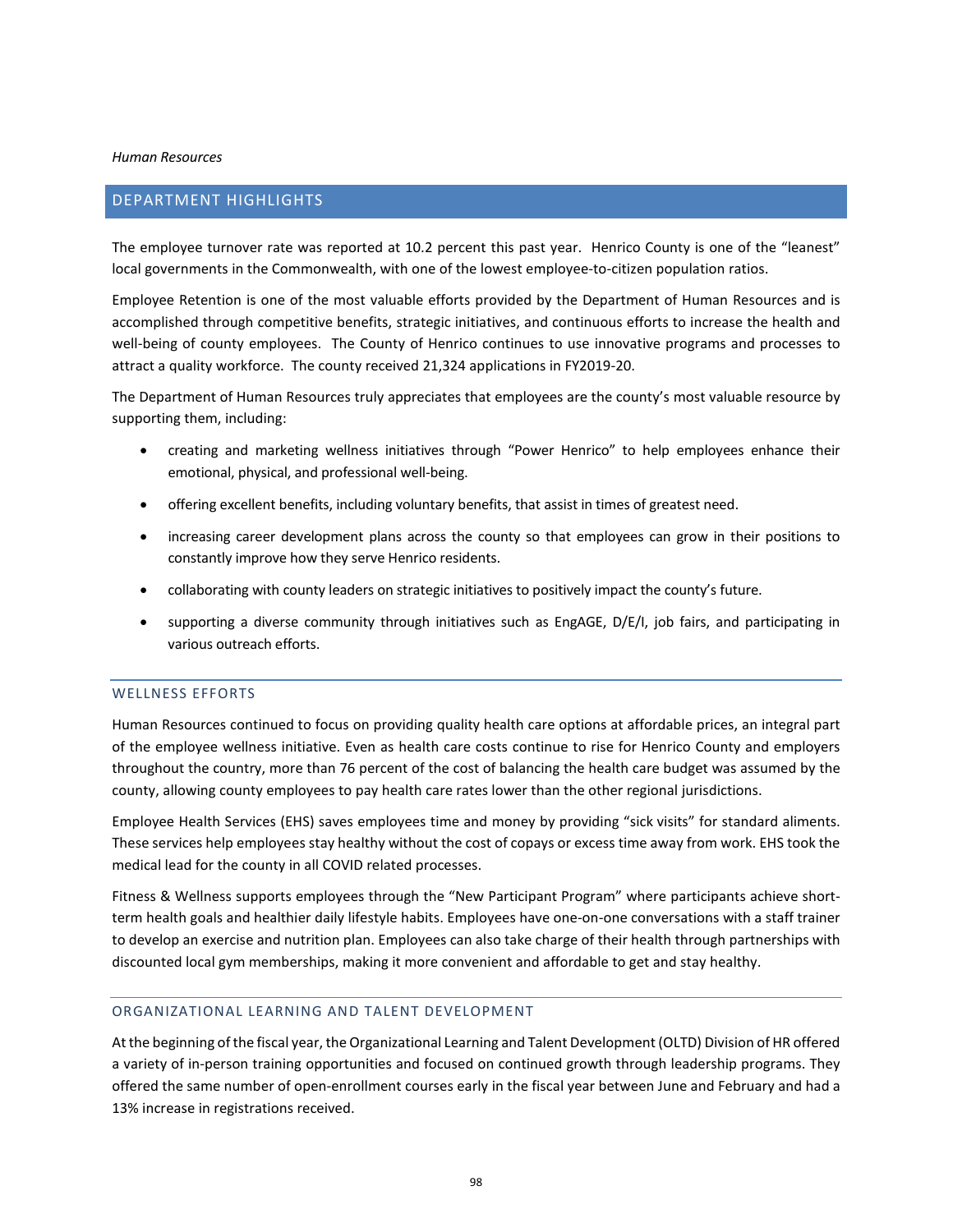#### *Human Resources*

## DEPARTMENT HIGHLIGHTS

The employee turnover rate was reported at 10.2 percent this past year. Henrico County is one of the "leanest" local governments in the Commonwealth, with one of the lowest employee-to-citizen population ratios.

Employee Retention is one of the most valuable efforts provided by the Department of Human Resources and is accomplished through competitive benefits, strategic initiatives, and continuous efforts to increase the health and well-being of county employees. The County of Henrico continues to use innovative programs and processes to attract a quality workforce. The county received 21,324 applications in FY2019-20.

The Department of Human Resources truly appreciates that employees are the county's most valuable resource by supporting them, including:

- creating and marketing wellness initiatives through "Power Henrico" to help employees enhance their emotional, physical, and professional well-being.
- offering excellent benefits, including voluntary benefits, that assist in times of greatest need.
- increasing career development plans across the county so that employees can grow in their positions to constantly improve how they serve Henrico residents.
- collaborating with county leaders on strategic initiatives to positively impact the county's future.
- supporting a diverse community through initiatives such as EngAGE, D/E/I, job fairs, and participating in various outreach efforts.

## WELLNESS EFFORTS

Human Resources continued to focus on providing quality health care options at affordable prices, an integral part of the employee wellness initiative. Even as health care costs continue to rise for Henrico County and employers throughout the country, more than 76 percent of the cost of balancing the health care budget was assumed by the county, allowing county employees to pay health care rates lower than the other regional jurisdictions.

Employee Health Services (EHS) saves employees time and money by providing "sick visits" for standard aliments. These services help employees stay healthy without the cost of copays or excess time away from work. EHS took the medical lead for the county in all COVID related processes.

Fitness & Wellness supports employees through the "New Participant Program" where participants achieve shortterm health goals and healthier daily lifestyle habits. Employees have one-on-one conversations with a staff trainer to develop an exercise and nutrition plan. Employees can also take charge of their health through partnerships with discounted local gym memberships, making it more convenient and affordable to get and stay healthy.

## ORGANIZATIONAL LEARNING AND TALENT DEVELOPMENT

At the beginning of the fiscal year, the Organizational Learning and Talent Development (OLTD) Division of HR offered a variety of in-person training opportunities and focused on continued growth through leadership programs. They offered the same number of open-enrollment courses early in the fiscal year between June and February and had a 13% increase in registrations received.